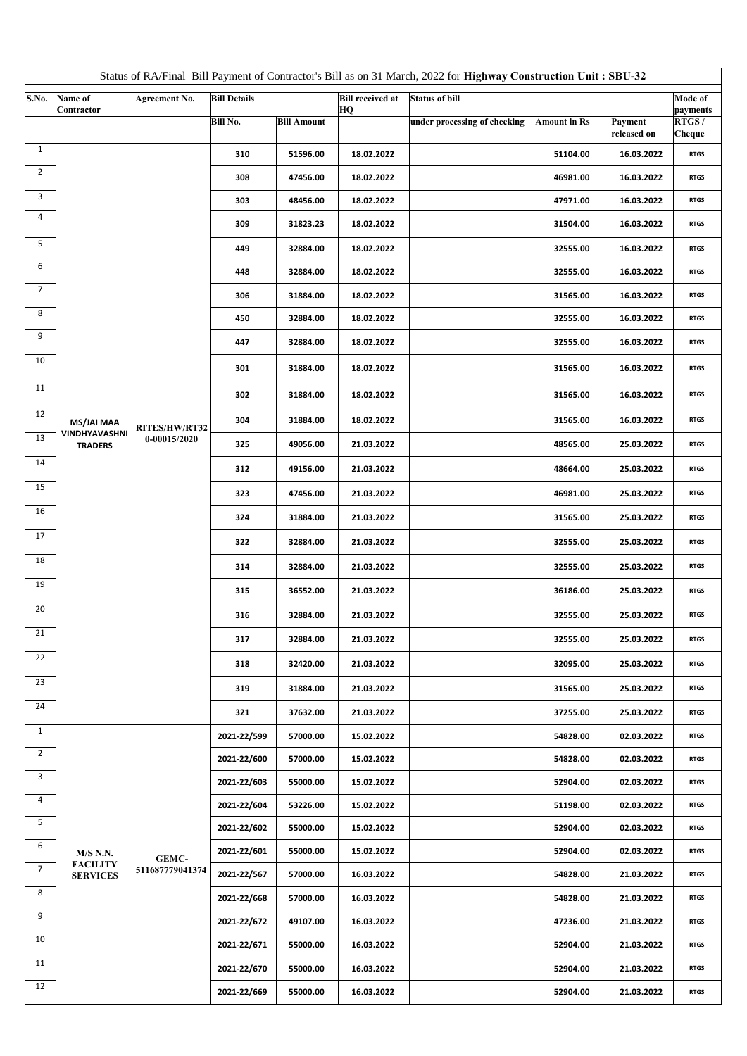| Status of RA/Final Bill Payment of Contractor's Bill as on 31 March, 2022 for Highway Construction Unit: SBU-32 |                                                |                               |                     |                    |                               |                              |                     |                        |                     |  |  |
|-----------------------------------------------------------------------------------------------------------------|------------------------------------------------|-------------------------------|---------------------|--------------------|-------------------------------|------------------------------|---------------------|------------------------|---------------------|--|--|
| S.No.                                                                                                           | Name of<br>Contractor                          | <b>Agreement No.</b>          | <b>Bill Details</b> |                    | <b>Bill received at</b><br>HQ | <b>Status of bill</b>        |                     |                        | Mode of<br>payments |  |  |
|                                                                                                                 |                                                |                               | Bill No.            | <b>Bill Amount</b> |                               | under processing of checking | <b>Amount in Rs</b> | Payment<br>released on | RTGS/<br>Cheque     |  |  |
| $\mathbf{1}$                                                                                                    |                                                | RITES/HW/RT32<br>0-00015/2020 | 310                 | 51596.00           | 18.02.2022                    |                              | 51104.00            | 16.03.2022             | <b>RTGS</b>         |  |  |
| $\overline{2}$                                                                                                  |                                                |                               | 308                 | 47456.00           | 18.02.2022                    |                              | 46981.00            | 16.03.2022             | <b>RTGS</b>         |  |  |
| 3                                                                                                               |                                                |                               | 303                 | 48456.00           | 18.02.2022                    |                              | 47971.00            | 16.03.2022             | <b>RTGS</b>         |  |  |
| 4                                                                                                               |                                                |                               | 309                 | 31823.23           | 18.02.2022                    |                              | 31504.00            | 16.03.2022             | <b>RTGS</b>         |  |  |
| 5                                                                                                               |                                                |                               | 449                 | 32884.00           | 18.02.2022                    |                              | 32555.00            | 16.03.2022             | <b>RTGS</b>         |  |  |
| 6                                                                                                               |                                                |                               | 448                 | 32884.00           | 18.02.2022                    |                              | 32555.00            | 16.03.2022             | <b>RTGS</b>         |  |  |
| $7\overline{ }$                                                                                                 |                                                |                               | 306                 | 31884.00           | 18.02.2022                    |                              | 31565.00            | 16.03.2022             | <b>RTGS</b>         |  |  |
| 8                                                                                                               |                                                |                               | 450                 | 32884.00           | 18.02.2022                    |                              | 32555.00            | 16.03.2022             | <b>RTGS</b>         |  |  |
| 9                                                                                                               |                                                |                               | 447                 | 32884.00           | 18.02.2022                    |                              | 32555.00            | 16.03.2022             | <b>RTGS</b>         |  |  |
| 10                                                                                                              |                                                |                               | 301                 | 31884.00           | 18.02.2022                    |                              | 31565.00            | 16.03.2022             | <b>RTGS</b>         |  |  |
| 11                                                                                                              |                                                |                               | 302                 | 31884.00           | 18.02.2022                    |                              | 31565.00            | 16.03.2022             | <b>RTGS</b>         |  |  |
| 12                                                                                                              | MS/JAI MAA                                     |                               | 304                 | 31884.00           | 18.02.2022                    |                              | 31565.00            | 16.03.2022             | <b>RTGS</b>         |  |  |
| 13                                                                                                              | VINDHYAVASHNI<br><b>TRADERS</b>                |                               | 325                 | 49056.00           | 21.03.2022                    |                              | 48565.00            | 25.03.2022             | <b>RTGS</b>         |  |  |
| 14                                                                                                              |                                                |                               | 312                 | 49156.00           | 21.03.2022                    |                              | 48664.00            | 25.03.2022             | <b>RTGS</b>         |  |  |
| 15                                                                                                              |                                                |                               | 323                 | 47456.00           | 21.03.2022                    |                              | 46981.00            | 25.03.2022             | <b>RTGS</b>         |  |  |
| 16                                                                                                              |                                                |                               | 324                 | 31884.00           | 21.03.2022                    |                              | 31565.00            | 25.03.2022             | <b>RTGS</b>         |  |  |
| 17                                                                                                              |                                                |                               | 322                 | 32884.00           | 21.03.2022                    |                              | 32555.00            | 25.03.2022             | <b>RTGS</b>         |  |  |
| 18                                                                                                              |                                                |                               | 314                 | 32884.00           | 21.03.2022                    |                              | 32555.00            | 25.03.2022             | <b>RTGS</b>         |  |  |
| 19                                                                                                              |                                                |                               | 315                 | 36552.00           | 21.03.2022                    |                              | 36186.00            | 25.03.2022             | <b>RTGS</b>         |  |  |
| 20                                                                                                              |                                                |                               | 316                 | 32884.00           | 21.03.2022                    |                              | 32555.00            | 25.03.2022             | <b>RTGS</b>         |  |  |
| 21                                                                                                              |                                                |                               | 317                 | 32884.00           | 21.03.2022                    |                              | 32555.00            | 25.03.2022             | <b>RTGS</b>         |  |  |
| 22                                                                                                              |                                                |                               | 318                 | 32420.00           | 21.03.2022                    |                              | 32095.00            | 25.03.2022             | <b>RTGS</b>         |  |  |
| 23                                                                                                              |                                                |                               | 319                 | 31884.00           | 21.03.2022                    |                              | 31565.00            | 25.03.2022             | <b>RTGS</b>         |  |  |
| 24                                                                                                              |                                                |                               | 321                 | 37632.00           | 21.03.2022                    |                              | 37255.00            | 25.03.2022             | <b>RTGS</b>         |  |  |
| $\mathbf{1}$                                                                                                    | M/S N.N.<br><b>FACILITY</b><br><b>SERVICES</b> | GEMC-<br>511687779041374      | 2021-22/599         | 57000.00           | 15.02.2022                    |                              | 54828.00            | 02.03.2022             | <b>RTGS</b>         |  |  |
| $\overline{2}$                                                                                                  |                                                |                               | 2021-22/600         | 57000.00           | 15.02.2022                    |                              | 54828.00            | 02.03.2022             | <b>RTGS</b>         |  |  |
| 3                                                                                                               |                                                |                               | 2021-22/603         | 55000.00           | 15.02.2022                    |                              | 52904.00            | 02.03.2022             | <b>RTGS</b>         |  |  |
| 4                                                                                                               |                                                |                               | 2021-22/604         | 53226.00           | 15.02.2022                    |                              | 51198.00            | 02.03.2022             | <b>RTGS</b>         |  |  |
| 5                                                                                                               |                                                |                               | 2021-22/602         | 55000.00           | 15.02.2022                    |                              | 52904.00            | 02.03.2022             | <b>RTGS</b>         |  |  |
| 6                                                                                                               |                                                |                               | 2021-22/601         | 55000.00           | 15.02.2022                    |                              | 52904.00            | 02.03.2022             | <b>RTGS</b>         |  |  |
| $\overline{7}$                                                                                                  |                                                |                               | 2021-22/567         | 57000.00           | 16.03.2022                    |                              | 54828.00            | 21.03.2022             | <b>RTGS</b>         |  |  |
| 8                                                                                                               |                                                |                               | 2021-22/668         | 57000.00           | 16.03.2022                    |                              | 54828.00            | 21.03.2022             | <b>RTGS</b>         |  |  |
| 9                                                                                                               |                                                |                               | 2021-22/672         | 49107.00           | 16.03.2022                    |                              | 47236.00            | 21.03.2022             | <b>RTGS</b>         |  |  |
| 10                                                                                                              |                                                |                               | 2021-22/671         | 55000.00           | 16.03.2022                    |                              | 52904.00            | 21.03.2022             | <b>RTGS</b>         |  |  |
| 11                                                                                                              |                                                |                               | 2021-22/670         | 55000.00           | 16.03.2022                    |                              | 52904.00            | 21.03.2022             | <b>RTGS</b>         |  |  |
| 12                                                                                                              |                                                |                               | 2021-22/669         | 55000.00           | 16.03.2022                    |                              | 52904.00            | 21.03.2022             | <b>RTGS</b>         |  |  |